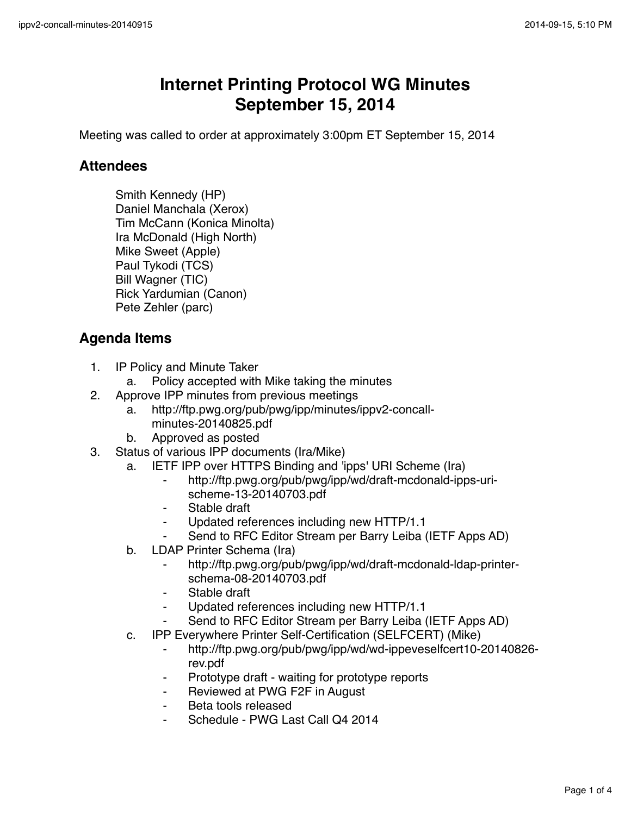## **Internet Printing Protocol WG Minutes September 15, 2014**

Meeting was called to order at approximately 3:00pm ET September 15, 2014

## **Attendees**

Smith Kennedy (HP) Daniel Manchala (Xerox) Tim McCann (Konica Minolta) Ira McDonald (High North) Mike Sweet (Apple) Paul Tykodi (TCS) Bill Wagner (TIC) Rick Yardumian (Canon) Pete Zehler (parc)

## **Agenda Items**

- 1. IP Policy and Minute Taker
	- a. Policy accepted with Mike taking the minutes
- 2. Approve IPP minutes from previous meetings
	- a. http://ftp.pwg.org/pub/pwg/ipp/minutes/ippv2-concallminutes-20140825.pdf
	- b. Approved as posted
- 3. Status of various IPP documents (Ira/Mike)
	- a. IETF IPP over HTTPS Binding and 'ipps' URI Scheme (Ira)
		- http://ftp.pwg.org/pub/pwg/ipp/wd/draft-mcdonald-ipps-urischeme-13-20140703.pdf
		- Stable draft
		- Updated references including new HTTP/1.1
		- Send to RFC Editor Stream per Barry Leiba (IETF Apps AD)
	- b. LDAP Printer Schema (Ira)
		- http://ftp.pwg.org/pub/pwg/ipp/wd/draft-mcdonald-ldap-printerschema-08-20140703.pdf
		- ⁃ Stable draft
		- Updated references including new HTTP/1.1
		- Send to RFC Editor Stream per Barry Leiba (IETF Apps AD)
	- c. IPP Everywhere Printer Self-Certification (SELFCERT) (Mike)
		- ⁃ http://ftp.pwg.org/pub/pwg/ipp/wd/wd-ippeveselfcert10-20140826 rev.pdf
		- Prototype draft waiting for prototype reports
		- ⁃ Reviewed at PWG F2F in August
		- ⁃ Beta tools released
		- Schedule PWG Last Call Q4 2014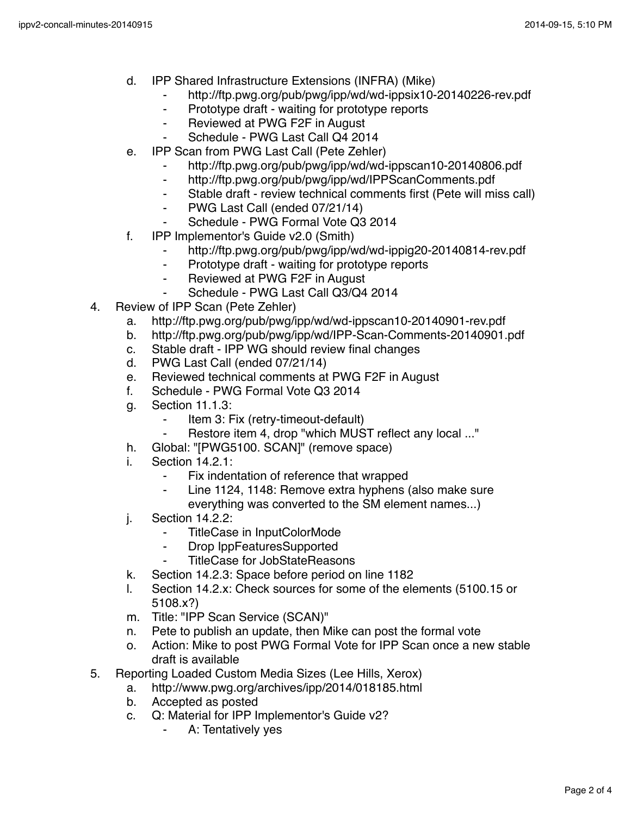- d. IPP Shared Infrastructure Extensions (INFRA) (Mike)
	- ⁃ http://ftp.pwg.org/pub/pwg/ipp/wd/wd-ippsix10-20140226-rev.pdf
	- ⁃ Prototype draft waiting for prototype reports
	- ⁃ Reviewed at PWG F2F in August
	- Schedule PWG Last Call Q4 2014
- e. IPP Scan from PWG Last Call (Pete Zehler)
	- http://ftp.pwg.org/pub/pwg/ipp/wd/wd-ippscan10-20140806.pdf
	- ⁃ http://ftp.pwg.org/pub/pwg/ipp/wd/IPPScanComments.pdf
	- ⁃ Stable draft review technical comments first (Pete will miss call)
	- ⁃ PWG Last Call (ended 07/21/14)
	- ⁃ Schedule PWG Formal Vote Q3 2014
- f. IPP Implementor's Guide v2.0 (Smith)
	- http://ftp.pwg.org/pub/pwg/ipp/wd/wd-ippig20-20140814-rev.pdf
	- ⁃ Prototype draft waiting for prototype reports
	- ⁃ Reviewed at PWG F2F in August
		- Schedule PWG Last Call Q3/Q4 2014
- 4. Review of IPP Scan (Pete Zehler)
	- a. http://ftp.pwg.org/pub/pwg/ipp/wd/wd-ippscan10-20140901-rev.pdf
	- b. http://ftp.pwg.org/pub/pwg/ipp/wd/IPP-Scan-Comments-20140901.pdf
	- c. Stable draft IPP WG should review final changes
	- d. PWG Last Call (ended 07/21/14)
	- e. Reviewed technical comments at PWG F2F in August
	- f. Schedule PWG Formal Vote Q3 2014
	- g. Section 11.1.3:
		- ⁃ Item 3: Fix (retry-timeout-default)
		- Restore item 4, drop "which MUST reflect any local ..."
	- h. Global: "[PWG5100. SCAN]" (remove space)
	- i. Section 14.2.1:
		- Fix indentation of reference that wrapped
		- Line 1124, 1148: Remove extra hyphens (also make sure everything was converted to the SM element names...)
	- j. Section 14.2.2:
		- TitleCase in InputColorMode
		- ⁃ Drop IppFeaturesSupported
		- TitleCase for JobStateReasons
	- k. Section 14.2.3: Space before period on line 1182
	- l. Section 14.2.x: Check sources for some of the elements (5100.15 or 5108.x?)
	- m. Title: "IPP Scan Service (SCAN)"
	- n. Pete to publish an update, then Mike can post the formal vote
	- o. Action: Mike to post PWG Formal Vote for IPP Scan once a new stable draft is available
- 5. Reporting Loaded Custom Media Sizes (Lee Hills, Xerox)
	- a. http://www.pwg.org/archives/ipp/2014/018185.html
	- b. Accepted as posted
	- c. Q: Material for IPP Implementor's Guide v2?
		- A: Tentatively yes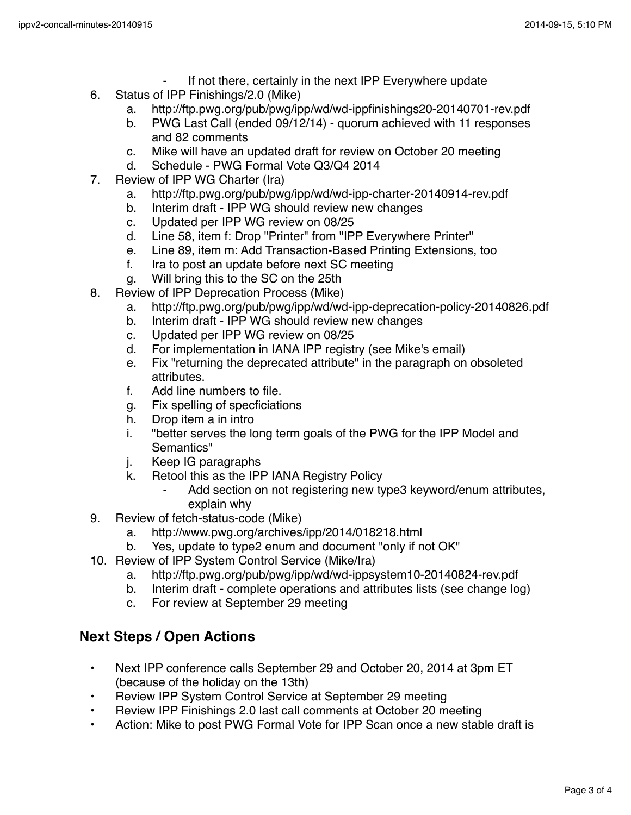- If not there, certainly in the next IPP Everywhere update
- 6. Status of IPP Finishings/2.0 (Mike)
	- a. http://ftp.pwg.org/pub/pwg/ipp/wd/wd-ippfinishings20-20140701-rev.pdf
	- b. PWG Last Call (ended 09/12/14) quorum achieved with 11 responses and 82 comments
	- c. Mike will have an updated draft for review on October 20 meeting
	- d. Schedule PWG Formal Vote Q3/Q4 2014
- 7. Review of IPP WG Charter (Ira)
	- a. http://ftp.pwg.org/pub/pwg/ipp/wd/wd-ipp-charter-20140914-rev.pdf
	- b. Interim draft IPP WG should review new changes
	- c. Updated per IPP WG review on 08/25
	- d. Line 58, item f: Drop "Printer" from "IPP Everywhere Printer"
	- e. Line 89, item m: Add Transaction-Based Printing Extensions, too
	- f. Ira to post an update before next SC meeting
	- g. Will bring this to the SC on the 25th
- 8. Review of IPP Deprecation Process (Mike)
	- a. http://ftp.pwg.org/pub/pwg/ipp/wd/wd-ipp-deprecation-policy-20140826.pdf
	- b. Interim draft IPP WG should review new changes
	- c. Updated per IPP WG review on 08/25
	- d. For implementation in IANA IPP registry (see Mike's email)
	- e. Fix "returning the deprecated attribute" in the paragraph on obsoleted attributes.
	- f. Add line numbers to file.
	- g. Fix spelling of specficiations
	- h. Drop item a in intro
	- i. "better serves the long term goals of the PWG for the IPP Model and Semantics"
	- j. Keep IG paragraphs
	- k. Retool this as the IPP IANA Registry Policy
		- Add section on not registering new type3 keyword/enum attributes, explain why
- 9. Review of fetch-status-code (Mike)
	- a. http://www.pwg.org/archives/ipp/2014/018218.html
	- b. Yes, update to type2 enum and document "only if not OK"
- 10. Review of IPP System Control Service (Mike/Ira)
	- a. http://ftp.pwg.org/pub/pwg/ipp/wd/wd-ippsystem10-20140824-rev.pdf
	- b. Interim draft complete operations and attributes lists (see change log)
	- c. For review at September 29 meeting

## **Next Steps / Open Actions**

- Next IPP conference calls September 29 and October 20, 2014 at 3pm ET (because of the holiday on the 13th)
- Review IPP System Control Service at September 29 meeting
- Review IPP Finishings 2.0 last call comments at October 20 meeting
- Action: Mike to post PWG Formal Vote for IPP Scan once a new stable draft is